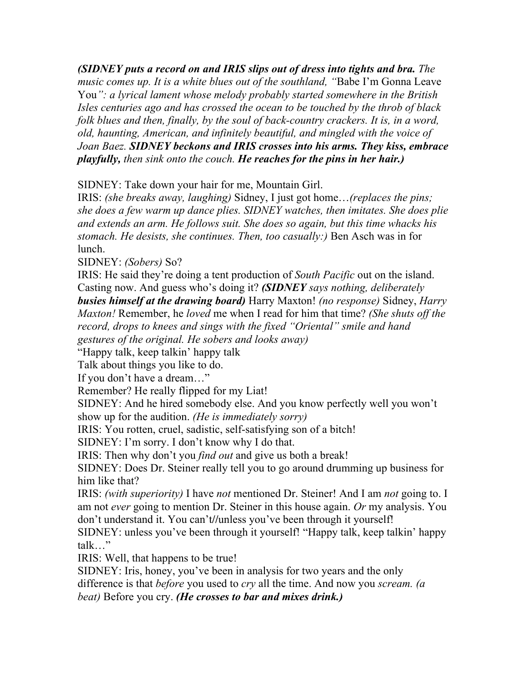*(SIDNEY puts a record on and IRIS slips out of dress into tights and bra. The music comes up. It is a white blues out of the southland, "*Babe I'm Gonna Leave You*": a lyrical lament whose melody probably started somewhere in the British Isles centuries ago and has crossed the ocean to be touched by the throb of black folk blues and then, finally, by the soul of back-country crackers. It is, in a word, old, haunting, American, and infinitely beautiful, and mingled with the voice of Joan Baez. SIDNEY beckons and IRIS crosses into his arms. They kiss, embrace playfully, then sink onto the couch. He reaches for the pins in her hair.)*

SIDNEY: Take down your hair for me, Mountain Girl.

IRIS: *(she breaks away, laughing)* Sidney, I just got home…*(replaces the pins; she does a few warm up dance plies. SIDNEY watches, then imitates. She does plie and extends an arm. He follows suit. She does so again, but this time whacks his stomach. He desists, she continues. Then, too casually:)* Ben Asch was in for lunch.

SIDNEY: *(Sobers)* So?

IRIS: He said they're doing a tent production of *South Pacific* out on the island. Casting now. And guess who's doing it? *(SIDNEY says nothing, deliberately busies himself at the drawing board)* Harry Maxton! *(no response)* Sidney, *Harry Maxton!* Remember, he *loved* me when I read for him that time? *(She shuts off the record, drops to knees and sings with the fixed "Oriental" smile and hand gestures of the original. He sobers and looks away)*

"Happy talk, keep talkin' happy talk

Talk about things you like to do.

If you don't have a dream…"

Remember? He really flipped for my Liat!

SIDNEY: And he hired somebody else. And you know perfectly well you won't show up for the audition. *(He is immediately sorry)*

IRIS: You rotten, cruel, sadistic, self-satisfying son of a bitch!

SIDNEY: I'm sorry. I don't know why I do that.

IRIS: Then why don't you *find out* and give us both a break!

SIDNEY: Does Dr. Steiner really tell you to go around drumming up business for him like that?

IRIS: *(with superiority)* I have *not* mentioned Dr. Steiner! And I am *not* going to. I am not *ever* going to mention Dr. Steiner in this house again. *Or* my analysis. You don't understand it. You can't**//**unless you've been through it yourself!

SIDNEY: unless you've been through it yourself! "Happy talk, keep talkin' happy talk…"

IRIS: Well, that happens to be true!

SIDNEY: Iris, honey, you've been in analysis for two years and the only difference is that *before* you used to *cry* all the time. And now you *scream. (a beat)* Before you cry. *(He crosses to bar and mixes drink.)*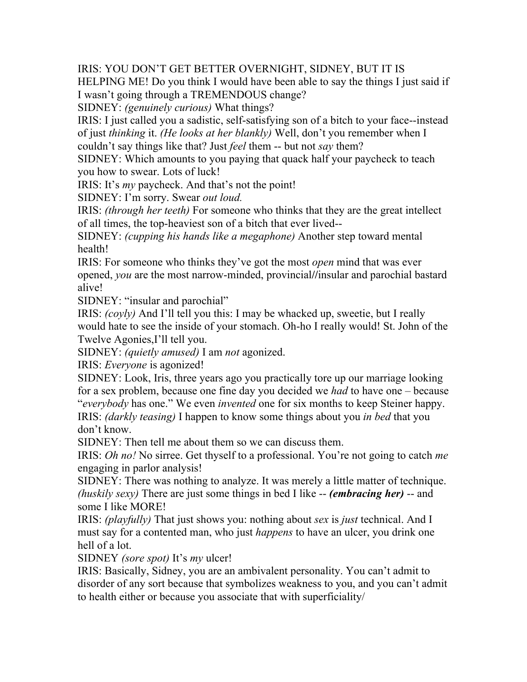IRIS: YOU DON'T GET BETTER OVERNIGHT, SIDNEY, BUT IT IS

HELPING ME! Do you think I would have been able to say the things I just said if I wasn't going through a TREMENDOUS change?

SIDNEY: *(genuinely curious)* What things?

IRIS: I just called you a sadistic, self-satisfying son of a bitch to your face--instead of just *thinking* it. *(He looks at her blankly)* Well, don't you remember when I couldn't say things like that? Just *feel* them -- but not *say* them?

SIDNEY: Which amounts to you paying that quack half your paycheck to teach you how to swear. Lots of luck!

IRIS: It's *my* paycheck. And that's not the point!

SIDNEY: I'm sorry. Swear *out loud.*

IRIS: *(through her teeth)* For someone who thinks that they are the great intellect of all times, the top-heaviest son of a bitch that ever lived--

SIDNEY: *(cupping his hands like a megaphone)* Another step toward mental health!

IRIS: For someone who thinks they've got the most *open* mind that was ever opened, *you* are the most narrow-minded, provincial**//**insular and parochial bastard alive!

SIDNEY: "insular and parochial"

IRIS: *(coyly)* And I'll tell you this: I may be whacked up, sweetie, but I really would hate to see the inside of your stomach. Oh-ho I really would! St. John of the Twelve Agonies,I'll tell you.

SIDNEY: *(quietly amused)* I am *not* agonized.

IRIS: *Everyone* is agonized!

SIDNEY: Look, Iris, three years ago you practically tore up our marriage looking for a sex problem, because one fine day you decided we *had* to have one – because "*everybody* has one." We even *invented* one for six months to keep Steiner happy.

IRIS: *(darkly teasing)* I happen to know some things about you *in bed* that you don't know.

SIDNEY: Then tell me about them so we can discuss them.

IRIS: *Oh no!* No sirree. Get thyself to a professional. You're not going to catch *me*  engaging in parlor analysis!

SIDNEY: There was nothing to analyze. It was merely a little matter of technique. *(huskily sexy)* There are just some things in bed I like -- *(embracing her)* -- and some I like MORE!

IRIS: *(playfully)* That just shows you: nothing about *sex* is *just* technical. And I must say for a contented man, who just *happens* to have an ulcer, you drink one hell of a lot.

SIDNEY *(sore spot)* It's *my* ulcer!

IRIS: Basically, Sidney, you are an ambivalent personality. You can't admit to disorder of any sort because that symbolizes weakness to you, and you can't admit to health either or because you associate that with superficiality/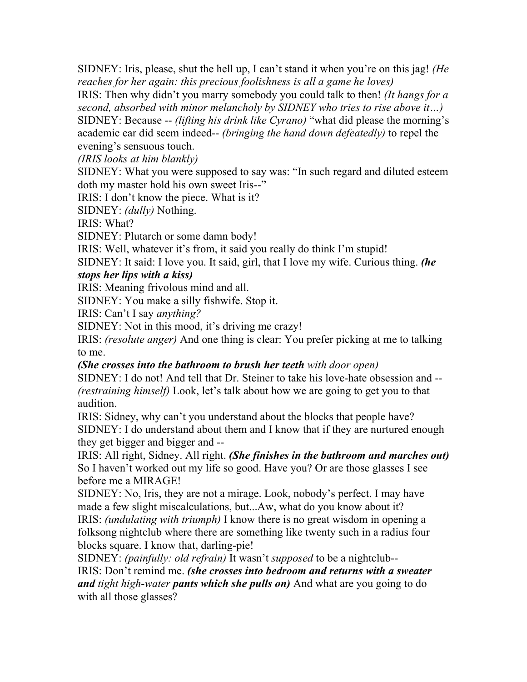SIDNEY: Iris, please, shut the hell up, I can't stand it when you're on this jag! *(He reaches for her again: this precious foolishness is all a game he loves)*

IRIS: Then why didn't you marry somebody you could talk to then! *(It hangs for a second, absorbed with minor melancholy by SIDNEY who tries to rise above it…)*

SIDNEY: Because -- *(lifting his drink like Cyrano)* "what did please the morning's academic ear did seem indeed-- *(bringing the hand down defeatedly)* to repel the evening's sensuous touch.

*(IRIS looks at him blankly)*

SIDNEY: What you were supposed to say was: "In such regard and diluted esteem doth my master hold his own sweet Iris--"

IRIS: I don't know the piece. What is it?

SIDNEY: *(dully)* Nothing.

IRIS: What?

SIDNEY: Plutarch or some damn body!

IRIS: Well, whatever it's from, it said you really do think I'm stupid!

SIDNEY: It said: I love you. It said, girl, that I love my wife. Curious thing. *(he stops her lips with a kiss)*

IRIS: Meaning frivolous mind and all.

SIDNEY: You make a silly fishwife. Stop it.

IRIS: Can't I say *anything?*

SIDNEY: Not in this mood, it's driving me crazy!

IRIS: *(resolute anger)* And one thing is clear: You prefer picking at me to talking to me.

## *(She crosses into the bathroom to brush her teeth with door open)*

SIDNEY: I do not! And tell that Dr. Steiner to take his love-hate obsession and -- *(restraining himself)* Look, let's talk about how we are going to get you to that audition.

IRIS: Sidney, why can't you understand about the blocks that people have? SIDNEY: I do understand about them and I know that if they are nurtured enough they get bigger and bigger and --

IRIS: All right, Sidney. All right. *(She finishes in the bathroom and marches out)*  So I haven't worked out my life so good. Have you? Or are those glasses I see before me a MIRAGE!

SIDNEY: No, Iris, they are not a mirage. Look, nobody's perfect. I may have made a few slight miscalculations, but...Aw, what do you know about it? IRIS: *(undulating with triumph)* I know there is no great wisdom in opening a folksong nightclub where there are something like twenty such in a radius four blocks square. I know that, darling-pie!

SIDNEY: *(painfully: old refrain)* It wasn't *supposed* to be a nightclub-- IRIS: Don't remind me. *(she crosses into bedroom and returns with a sweater and tight high-water pants which she pulls on)* And what are you going to do with all those glasses?